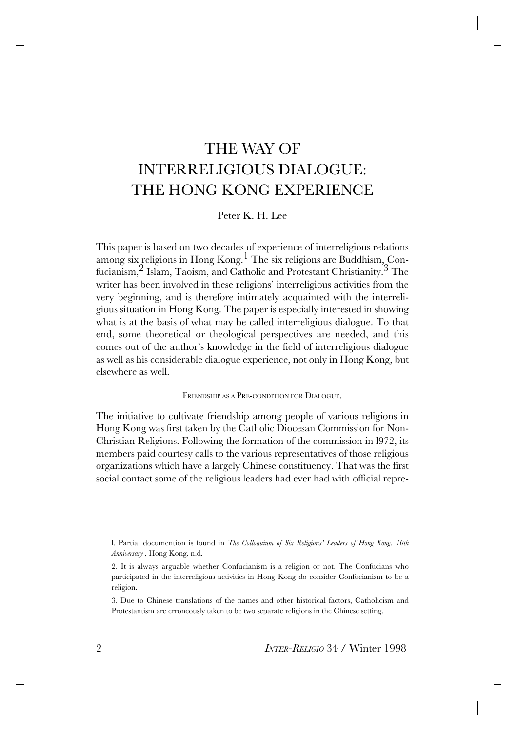## THE WAY OF INTERRELIGIOUS DIALOGUE: THE HONG KONG EXPERIENCE

Peter K. H. Lee

This paper is based on two decades of experience of interreligious relations among six religions in Hong Kong.1 The six religions are Buddhism, Confucianism, <sup>2</sup> Islam, Taoism, and Catholic and Protestant Christianity.<sup>3</sup> The writer has been involved in these religions' interreligious activities from the very beginning, and is therefore intimately acquainted with the interreligious situation in Hong Kong. The paper is especially interested in showing what is at the basis of what may be called interreligious dialogue. To that end, some theoretical or theological perspectives are needed, and this comes out of the author's knowledge in the field of interreligious dialogue as well as his considerable dialogue experience, not only in Hong Kong, but elsewhere as well.

FRIENDSHIP AS A PRE-CONDITION FOR DIALOGUE.

The initiative to cultivate friendship among people of various religions in Hong Kong was first taken by the Catholic Diocesan Commission for Non-Christian Religions. Following the formation of the commission in l972, its members paid courtesy calls to the various representatives of those religious organizations which have a largely Chinese constituency. That was the first social contact some of the religious leaders had ever had with official repre-

3. Due to Chinese translations of the names and other historical factors, Catholicism and Protestantism are erroneously taken to be two separate religions in the Chinese setting.

l. Partial documention is found in *The Colloquium of Six Religions' Leaders of Hong Kong. 10th Anniversary* , Hong Kong, n.d.

<sup>2.</sup> It is always arguable whether Confucianism is a religion or not. The Confucians who participated in the interreligious activities in Hong Kong do consider Confucianism to be a religion.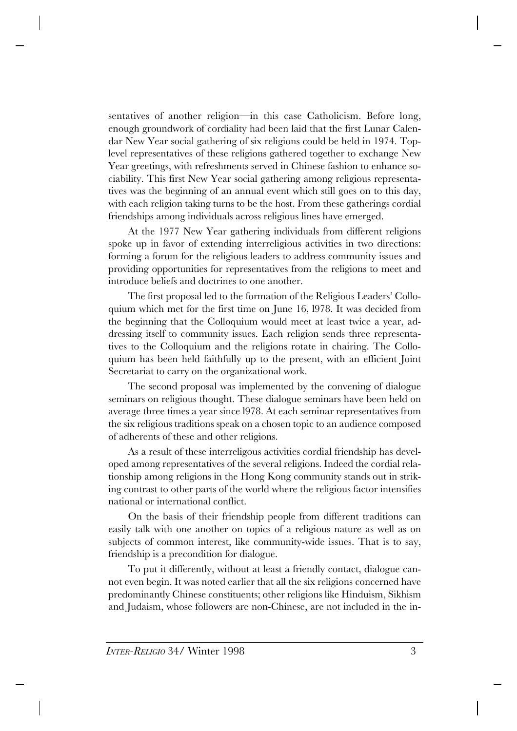sentatives of another religion—in this case Catholicism. Before long, enough groundwork of cordiality had been laid that the first Lunar Calendar New Year social gathering of six religions could be held in 1974. Toplevel representatives of these religions gathered together to exchange New Year greetings, with refreshments served in Chinese fashion to enhance sociability. This first New Year social gathering among religious representatives was the beginning of an annual event which still goes on to this day, with each religion taking turns to be the host. From these gatherings cordial friendships among individuals across religious lines have emerged.

At the 1977 New Year gathering individuals from different religions spoke up in favor of extending interreligious activities in two directions: forming a forum for the religious leaders to address community issues and providing opportunities for representatives from the religions to meet and introduce beliefs and doctrines to one another.

The first proposal led to the formation of the Religious Leaders' Colloquium which met for the first time on June 16, l978. It was decided from the beginning that the Colloquium would meet at least twice a year, addressing itself to community issues. Each religion sends three representatives to the Colloquium and the religions rotate in chairing. The Colloquium has been held faithfully up to the present, with an efficient Joint Secretariat to carry on the organizational work.

The second proposal was implemented by the convening of dialogue seminars on religious thought. These dialogue seminars have been held on average three times a year since l978. At each seminar representatives from the six religious traditions speak on a chosen topic to an audience composed of adherents of these and other religions.

As a result of these interreligous activities cordial friendship has developed among representatives of the several religions. Indeed the cordial relationship among religions in the Hong Kong community stands out in striking contrast to other parts of the world where the religious factor intensifies national or international conflict.

On the basis of their friendship people from different traditions can easily talk with one another on topics of a religious nature as well as on subjects of common interest, like community-wide issues. That is to say, friendship is a precondition for dialogue.

To put it differently, without at least a friendly contact, dialogue cannot even begin. It was noted earlier that all the six religions concerned have predominantly Chinese constituents; other religions like Hinduism, Sikhism and Judaism, whose followers are non-Chinese, are not included in the in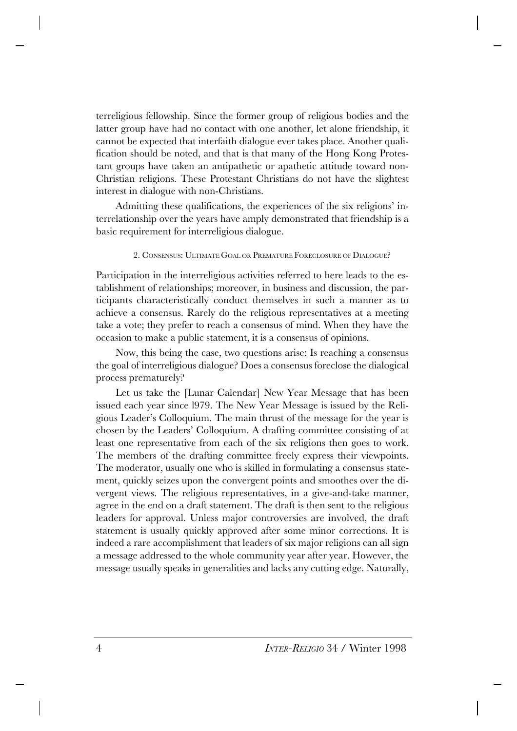terreligious fellowship. Since the former group of religious bodies and the latter group have had no contact with one another, let alone friendship, it cannot be expected that interfaith dialogue ever takes place. Another qualification should be noted, and that is that many of the Hong Kong Protestant groups have taken an antipathetic or apathetic attitude toward non-Christian religions. These Protestant Christians do not have the slightest interest in dialogue with non-Christians.

Admitting these qualifications, the experiences of the six religions' interrelationship over the years have amply demonstrated that friendship is a basic requirement for interreligious dialogue.

## 2. CONSENSUS: ULTIMATE GOAL OR PREMATURE FORECLOSURE OF DIALOGUE?

Participation in the interreligious activities referred to here leads to the establishment of relationships; moreover, in business and discussion, the participants characteristically conduct themselves in such a manner as to achieve a consensus. Rarely do the religious representatives at a meeting take a vote; they prefer to reach a consensus of mind. When they have the occasion to make a public statement, it is a consensus of opinions.

Now, this being the case, two questions arise: Is reaching a consensus the goal of interreligious dialogue? Does a consensus foreclose the dialogical process prematurely?

Let us take the [Lunar Calendar] New Year Message that has been issued each year since l979. The New Year Message is issued by the Religious Leader's Colloquium. The main thrust of the message for the year is chosen by the Leaders' Colloquium. A drafting committee consisting of at least one representative from each of the six religions then goes to work. The members of the drafting committee freely express their viewpoints. The moderator, usually one who is skilled in formulating a consensus statement, quickly seizes upon the convergent points and smoothes over the divergent views. The religious representatives, in a give-and-take manner, agree in the end on a draft statement. The draft is then sent to the religious leaders for approval. Unless major controversies are involved, the draft statement is usually quickly approved after some minor corrections. It is indeed a rare accomplishment that leaders of six major religions can all sign a message addressed to the whole community year after year. However, the message usually speaks in generalities and lacks any cutting edge. Naturally,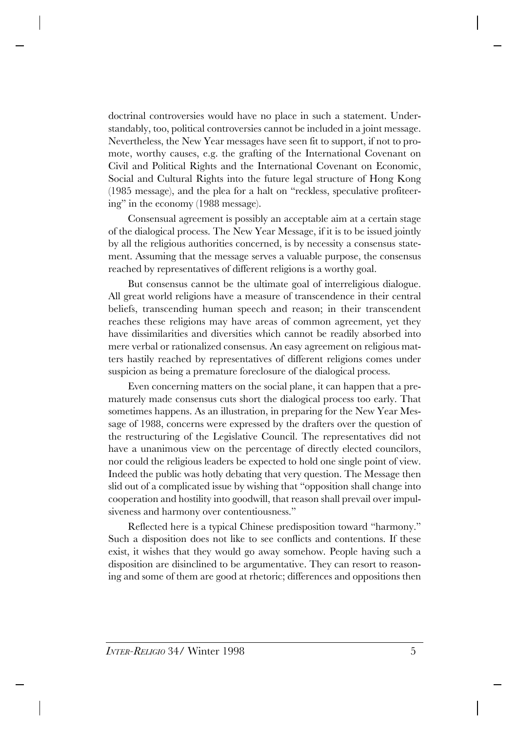doctrinal controversies would have no place in such a statement. Understandably, too, political controversies cannot be included in a joint message. Nevertheless, the New Year messages have seen fit to support, if not to promote, worthy causes, e.g. the grafting of the International Covenant on Civil and Political Rights and the International Covenant on Economic, Social and Cultural Rights into the future legal structure of Hong Kong (1985 message), and the plea for a halt on "reckless, speculative profiteering" in the economy (1988 message).

Consensual agreement is possibly an acceptable aim at a certain stage of the dialogical process. The New Year Message, if it is to be issued jointly by all the religious authorities concerned, is by necessity a consensus statement. Assuming that the message serves a valuable purpose, the consensus reached by representatives of different religions is a worthy goal.

But consensus cannot be the ultimate goal of interreligious dialogue. All great world religions have a measure of transcendence in their central beliefs, transcending human speech and reason; in their transcendent reaches these religions may have areas of common agreement, yet they have dissimilarities and diversities which cannot be readily absorbed into mere verbal or rationalized consensus. An easy agreement on religious matters hastily reached by representatives of different religions comes under suspicion as being a premature foreclosure of the dialogical process.

Even concerning matters on the social plane, it can happen that a prematurely made consensus cuts short the dialogical process too early. That sometimes happens. As an illustration, in preparing for the New Year Message of 1988, concerns were expressed by the drafters over the question of the restructuring of the Legislative Council. The representatives did not have a unanimous view on the percentage of directly elected councilors, nor could the religious leaders be expected to hold one single point of view. Indeed the public was hotly debating that very question. The Message then slid out of a complicated issue by wishing that "opposition shall change into cooperation and hostility into goodwill, that reason shall prevail over impulsiveness and harmony over contentiousness."

Reflected here is a typical Chinese predisposition toward "harmony." Such a disposition does not like to see conflicts and contentions. If these exist, it wishes that they would go away somehow. People having such a disposition are disinclined to be argumentative. They can resort to reasoning and some of them are good at rhetoric; differences and oppositions then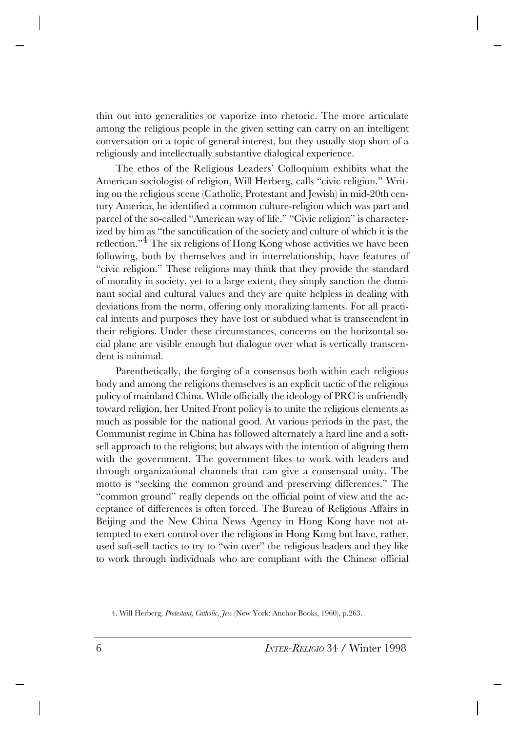thin out into generalities or vaporize into rhetoric. The more articulate among the religious people in the given setting can carry on an intelligent conversation on a topic of general interest, but they usually stop short of a religiously and intellectually substantive dialogical experience.

The ethos of the Religious Leaders' Colloquium exhibits what the American sociologist of religion, Will Herberg, calls "civic religion." Writing on the religious scene (Catholic, Protestant and Jewish) in mid-20th century America, he identified a common culture-religion which was part and parcel of the so-called "American way of life." "Civic religion" is characterized by him as "the sanctification of the society and culture of which it is the reflection."4 The six religions of Hong Kong whose activities we have been following, both by themselves and in interrelationship, have features of "civic religion." These religions may think that they provide the standard of morality in society, yet to a large extent, they simply sanction the dominant social and cultural values and they are quite helpless in dealing with deviations from the norm, offering only moralizing laments. For all practical intents and purposes they have lost or subdued what is transcendent in their religions. Under these circumstances, concerns on the horizontal social plane are visible enough but dialogue over what is vertically transcendent is minimal.

Parenthetically, the forging of a consensus both within each religious body and among the religions themselves is an explicit tactic of the religious policy of mainland China. While officially the ideology of PRC is unfriendly toward religion, her United Front policy is to unite the religious elements as much as possible for the national good. At various periods in the past, the Communist regime in China has followed alternately a hard line and a softsell approach to the religions; but always with the intention of aligning them with the government. The government likes to work with leaders and through organizational channels that can give a consensual unity. The motto is "seeking the common ground and preserving differences." The "common ground" really depends on the official point of view and the acceptance of differences is often forced. The Bureau of Religious Affairs in Beijing and the New China News Agency in Hong Kong have not attempted to exert control over the religions in Hong Kong but have, rather, used soft-sell tactics to try to "win over" the religious leaders and they like to work through individuals who are compliant with the Chinese official

<sup>4.</sup> Will Herberg, *Protestant, Catholic, Jew* (New York: Anchor Books, 1960), p.263.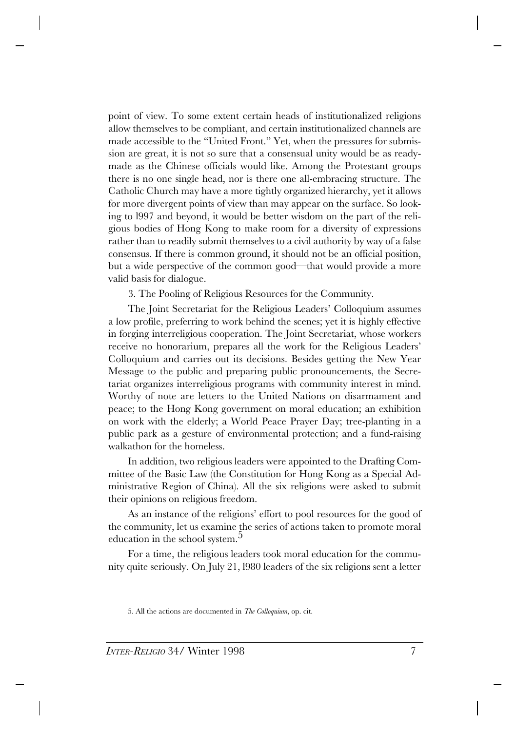point of view. To some extent certain heads of institutionalized religions allow themselves to be compliant, and certain institutionalized channels are made accessible to the "United Front." Yet, when the pressures for submission are great, it is not so sure that a consensual unity would be as readymade as the Chinese officials would like. Among the Protestant groups there is no one single head, nor is there one all-embracing structure. The Catholic Church may have a more tightly organized hierarchy, yet it allows for more divergent points of view than may appear on the surface. So looking to l997 and beyond, it would be better wisdom on the part of the religious bodies of Hong Kong to make room for a diversity of expressions rather than to readily submit themselves to a civil authority by way of a false consensus. If there is common ground, it should not be an official position, but a wide perspective of the common good—that would provide a more valid basis for dialogue.

3. The Pooling of Religious Resources for the Community.

The Joint Secretariat for the Religious Leaders' Colloquium assumes a low profile, preferring to work behind the scenes; yet it is highly effective in forging interreligious cooperation. The Joint Secretariat, whose workers receive no honorarium, prepares all the work for the Religious Leaders' Colloquium and carries out its decisions. Besides getting the New Year Message to the public and preparing public pronouncements, the Secretariat organizes interreligious programs with community interest in mind. Worthy of note are letters to the United Nations on disarmament and peace; to the Hong Kong government on moral education; an exhibition on work with the elderly; a World Peace Prayer Day; tree-planting in a public park as a gesture of environmental protection; and a fund-raising walkathon for the homeless.

In addition, two religious leaders were appointed to the Drafting Committee of the Basic Law (the Constitution for Hong Kong as a Special Administrative Region of China). All the six religions were asked to submit their opinions on religious freedom.

As an instance of the religions' effort to pool resources for the good of the community, let us examine the series of actions taken to promote moral education in the school system.<sup>5</sup>

For a time, the religious leaders took moral education for the community quite seriously. On July 21, l980 leaders of the six religions sent a letter

<sup>5.</sup> All the actions are documented in *The Colloquium*, op. cit.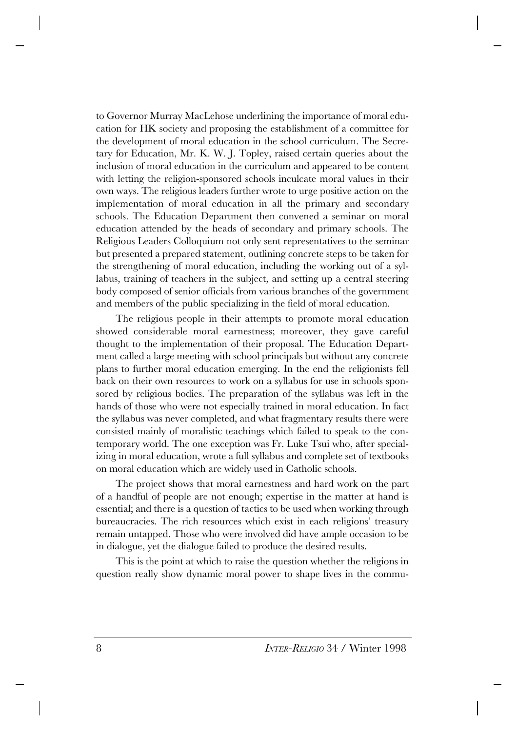to Governor Murray MacLehose underlining the importance of moral education for HK society and proposing the establishment of a committee for the development of moral education in the school curriculum. The Secretary for Education, Mr. K. W. J. Topley, raised certain queries about the inclusion of moral education in the curriculum and appeared to be content with letting the religion-sponsored schools inculcate moral values in their own ways. The religious leaders further wrote to urge positive action on the implementation of moral education in all the primary and secondary schools. The Education Department then convened a seminar on moral education attended by the heads of secondary and primary schools. The Religious Leaders Colloquium not only sent representatives to the seminar but presented a prepared statement, outlining concrete steps to be taken for the strengthening of moral education, including the working out of a syllabus, training of teachers in the subject, and setting up a central steering body composed of senior officials from various branches of the government and members of the public specializing in the field of moral education.

The religious people in their attempts to promote moral education showed considerable moral earnestness; moreover, they gave careful thought to the implementation of their proposal. The Education Department called a large meeting with school principals but without any concrete plans to further moral education emerging. In the end the religionists fell back on their own resources to work on a syllabus for use in schools sponsored by religious bodies. The preparation of the syllabus was left in the hands of those who were not especially trained in moral education. In fact the syllabus was never completed, and what fragmentary results there were consisted mainly of moralistic teachings which failed to speak to the contemporary world. The one exception was Fr. Luke Tsui who, after specializing in moral education, wrote a full syllabus and complete set of textbooks on moral education which are widely used in Catholic schools.

The project shows that moral earnestness and hard work on the part of a handful of people are not enough; expertise in the matter at hand is essential; and there is a question of tactics to be used when working through bureaucracies. The rich resources which exist in each religions' treasury remain untapped. Those who were involved did have ample occasion to be in dialogue, yet the dialogue failed to produce the desired results.

This is the point at which to raise the question whether the religions in question really show dynamic moral power to shape lives in the commu-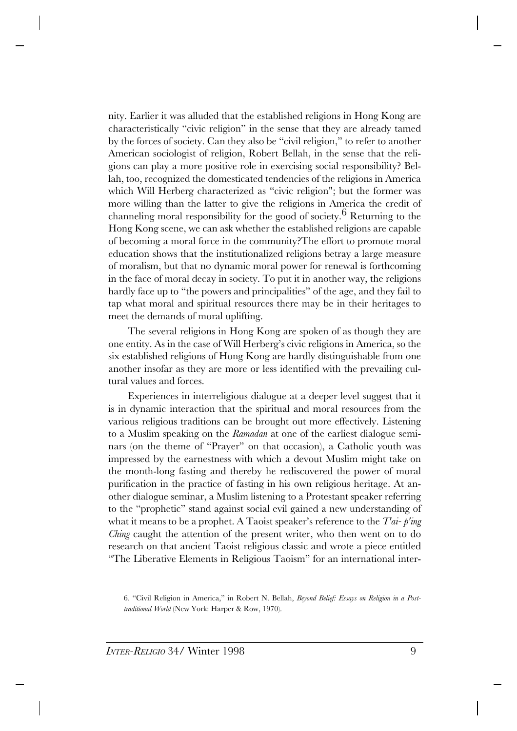nity. Earlier it was alluded that the established religions in Hong Kong are characteristically "civic religion" in the sense that they are already tamed by the forces of society. Can they also be "civil religion," to refer to another American sociologist of religion, Robert Bellah, in the sense that the religions can play a more positive role in exercising social responsibility? Bellah, too, recognized the domesticated tendencies of the religions in America which Will Herberg characterized as "civic religion"; but the former was more willing than the latter to give the religions in America the credit of channeling moral responsibility for the good of society.<sup>6</sup> Returning to the Hong Kong scene, we can ask whether the established religions are capable of becoming a moral force in the community?The effort to promote moral education shows that the institutionalized religions betray a large measure of moralism, but that no dynamic moral power for renewal is forthcoming in the face of moral decay in society. To put it in another way, the religions hardly face up to "the powers and principalities" of the age, and they fail to tap what moral and spiritual resources there may be in their heritages to meet the demands of moral uplifting.

The several religions in Hong Kong are spoken of as though they are one entity. As in the case of Will Herberg's civic religions in America, so the six established religions of Hong Kong are hardly distinguishable from one another insofar as they are more or less identified with the prevailing cultural values and forces.

Experiences in interreligious dialogue at a deeper level suggest that it is in dynamic interaction that the spiritual and moral resources from the various religious traditions can be brought out more effectively. Listening to a Muslim speaking on the *Ramadan* at one of the earliest dialogue seminars (on the theme of "Prayer" on that occasion), a Catholic youth was impressed by the earnestness with which a devout Muslim might take on the month-long fasting and thereby he rediscovered the power of moral purification in the practice of fasting in his own religious heritage. At another dialogue seminar, a Muslim listening to a Protestant speaker referring to the "prophetic" stand against social evil gained a new understanding of what it means to be a prophet. A Taoist speaker's reference to the *T'ai- p'ing Ching* caught the attention of the present writer, who then went on to do research on that ancient Taoist religious classic and wrote a piece entitled "The Liberative Elements in Religious Taoism" for an international inter-

<sup>6. &</sup>quot;Civil Religion in America," in Robert N. Bellah, *Beyond Belief: Essays on Religion in a Posttraditional World* (New York: Harper & Row, 1970).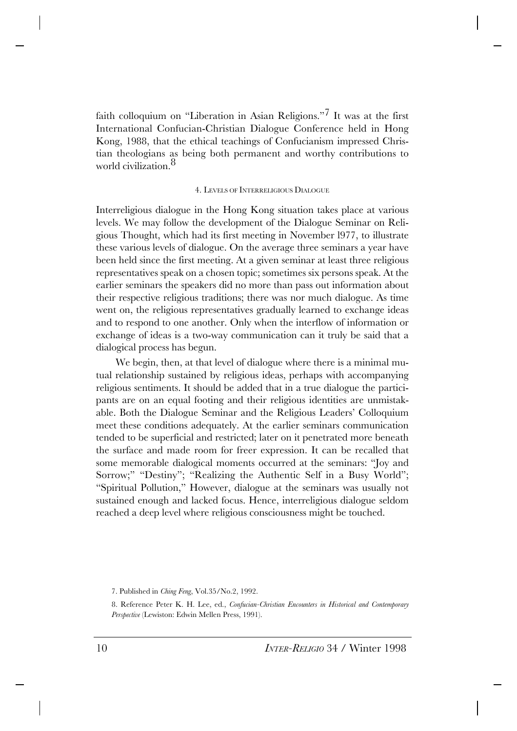faith colloquium on "Liberation in Asian Religions."7 It was at the first International Confucian-Christian Dialogue Conference held in Hong Kong, 1988, that the ethical teachings of Confucianism impressed Christian theologians as being both permanent and worthy contributions to world civilization.<sup>8</sup>

## 4. LEVELS OF INTERRELIGIOUS DIALOGUE

Interreligious dialogue in the Hong Kong situation takes place at various levels. We may follow the development of the Dialogue Seminar on Religious Thought, which had its first meeting in November l977, to illustrate these various levels of dialogue. On the average three seminars a year have been held since the first meeting. At a given seminar at least three religious representatives speak on a chosen topic; sometimes six persons speak. At the earlier seminars the speakers did no more than pass out information about their respective religious traditions; there was nor much dialogue. As time went on, the religious representatives gradually learned to exchange ideas and to respond to one another. Only when the interflow of information or exchange of ideas is a two-way communication can it truly be said that a dialogical process has begun.

We begin, then, at that level of dialogue where there is a minimal mutual relationship sustained by religious ideas, perhaps with accompanying religious sentiments. It should be added that in a true dialogue the participants are on an equal footing and their religious identities are unmistakable. Both the Dialogue Seminar and the Religious Leaders' Colloquium meet these conditions adequately. At the earlier seminars communication tended to be superficial and restricted; later on it penetrated more beneath the surface and made room for freer expression. It can be recalled that some memorable dialogical moments occurred at the seminars: "Joy and Sorrow;" "Destiny"; "Realizing the Authentic Self in a Busy World"; "Spiritual Pollution," However, dialogue at the seminars was usually not sustained enough and lacked focus. Hence, interreligious dialogue seldom reached a deep level where religious consciousness might be touched.

<sup>7.</sup> Published in *Ching Feng*, Vol.35/No.2, 1992.

<sup>8.</sup> Reference Peter K. H. Lee, ed., *Confucian-Christian Encounters in Historical and Contemporary Perspective* (Lewiston: Edwin Mellen Press, 1991).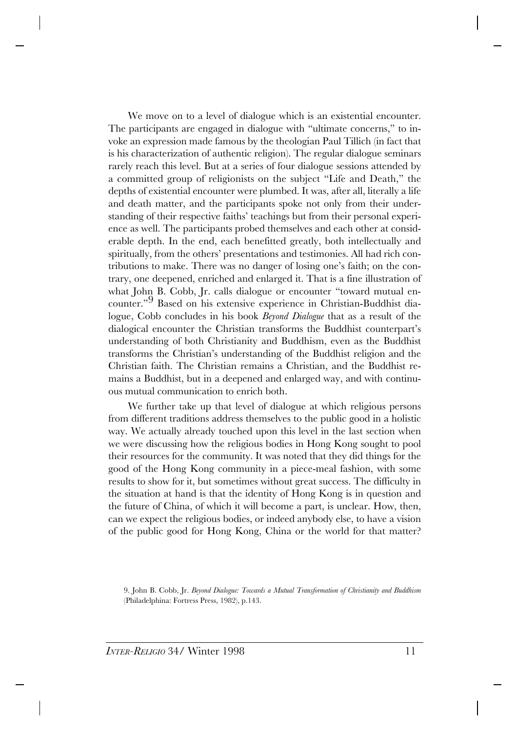We move on to a level of dialogue which is an existential encounter. The participants are engaged in dialogue with "ultimate concerns," to invoke an expression made famous by the theologian Paul Tillich (in fact that is his characterization of authentic religion). The regular dialogue seminars rarely reach this level. But at a series of four dialogue sessions attended by a committed group of religionists on the subject "Life and Death," the depths of existential encounter were plumbed. It was, after all, literally a life and death matter, and the participants spoke not only from their understanding of their respective faiths' teachings but from their personal experience as well. The participants probed themselves and each other at considerable depth. In the end, each benefitted greatly, both intellectually and spiritually, from the others' presentations and testimonies. All had rich contributions to make. There was no danger of losing one's faith; on the contrary, one deepened, enriched and enlarged it. That is a fine illustration of what John B. Cobb, Jr. calls dialogue or encounter "toward mutual encounter."9 Based on his extensive experience in Christian-Buddhist dialogue, Cobb concludes in his book *Beyond Dialogue* that as a result of the dialogical encounter the Christian transforms the Buddhist counterpart's understanding of both Christianity and Buddhism, even as the Buddhist transforms the Christian's understanding of the Buddhist religion and the Christian faith. The Christian remains a Christian, and the Buddhist remains a Buddhist, but in a deepened and enlarged way, and with continuous mutual communication to enrich both.

We further take up that level of dialogue at which religious persons from different traditions address themselves to the public good in a holistic way. We actually already touched upon this level in the last section when we were discussing how the religious bodies in Hong Kong sought to pool their resources for the community. It was noted that they did things for the good of the Hong Kong community in a piece-meal fashion, with some results to show for it, but sometimes without great success. The difficulty in the situation at hand is that the identity of Hong Kong is in question and the future of China, of which it will become a part, is unclear. How, then, can we expect the religious bodies, or indeed anybody else, to have a vision of the public good for Hong Kong, China or the world for that matter?

<sup>9.</sup> John B. Cobb, Jr. *Beyond Dialogue: Towards a Mutual Transformation of Christianity and Buddhism* (Philadelphina: Fortress Press, 1982), p.143.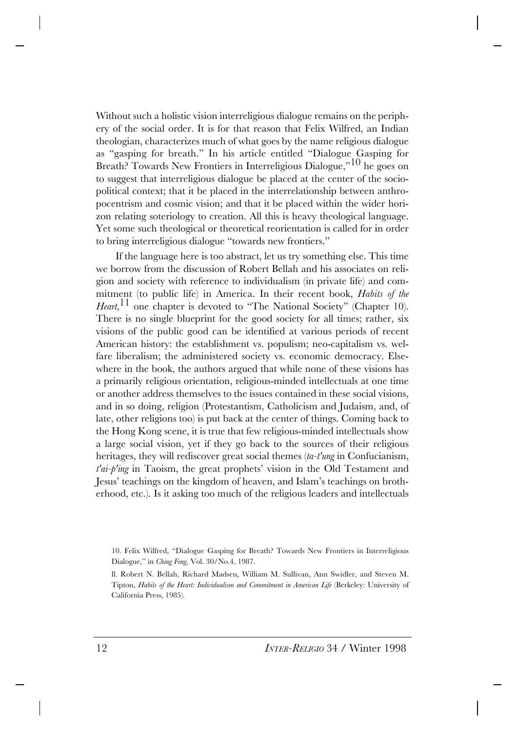Without such a holistic vision interreligious dialogue remains on the periphery of the social order. It is for that reason that Felix Wilfred, an Indian theologian, characterizes much of what goes by the name religious dialogue as "gasping for breath." In his article entitled "Dialogue Gasping for Breath? Towards New Frontiers in Interreligious Dialogue,"10 he goes on to suggest that interreligious dialogue be placed at the center of the sociopolitical context; that it be placed in the interrelationship between anthropocentrism and cosmic vision; and that it be placed within the wider horizon relating soteriology to creation. All this is heavy theological language. Yet some such theological or theoretical reorientation is called for in order to bring interreligious dialogue "towards new frontiers."

If the language here is too abstract, let us try something else. This time we borrow from the discussion of Robert Bellah and his associates on religion and society with reference to individualism (in private life) and commitment (to public life) in America. In their recent book, *Habits of the* Heart, <sup>11</sup> one chapter is devoted to "The National Society" (Chapter 10). There is no single blueprint for the good society for all times; rather, six visions of the public good can be identified at various periods of recent American history: the establishment vs. populism; neo-capitalism vs. welfare liberalism; the administered society vs. economic democracy. Elsewhere in the book, the authors argued that while none of these visions has a primarily religious orientation, religious-minded intellectuals at one time or another address themselves to the issues contained in these social visions, and in so doing, religion (Protestantism, Catholicism and Judaism, and, of late, other religions too) is put back at the center of things. Coming back to the Hong Kong scene, it is true that few religious-minded intellectuals show a large social vision, yet if they go back to the sources of their religious heritages, they will rediscover great social themes (*ta-t'ung* in Confucianism, *t'ai-p'ing* in Taoism, the great prophets' vision in the Old Testament and Jesus' teachings on the kingdom of heaven, and Islam's teachings on brotherhood, etc.). Is it asking too much of the religious leaders and intellectuals

<sup>10.</sup> Felix Wilfred, "Dialogue Gasping for Breath? Towards New Frontiers in Interreligious Dialogue," in *Ching Feng*, Vol. 30/No.4, 1987.

ll. Robert N. Bellah, Richard Madsen, William M. Sullivan, Ann Swidler, and Steven M. Tipton, *Habits of the Heart: Individualism and Commitment in American Life* (Berkeley: University of California Press, 1985).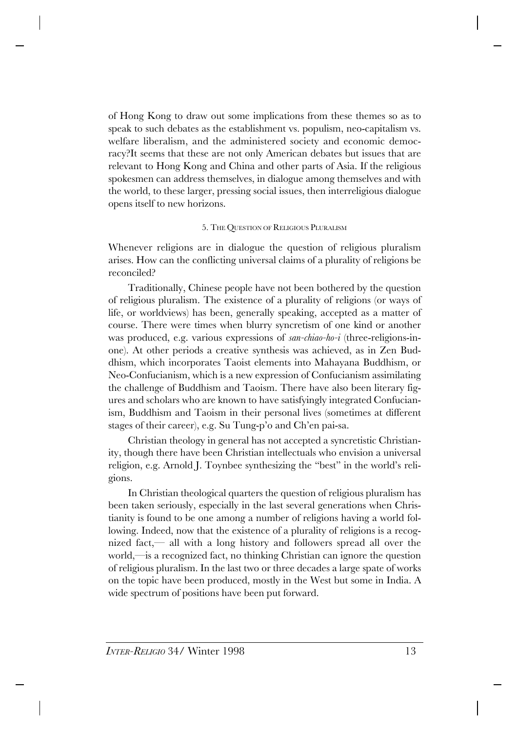of Hong Kong to draw out some implications from these themes so as to speak to such debates as the establishment vs. populism, neo-capitalism vs. welfare liberalism, and the administered society and economic democracy?It seems that these are not only American debates but issues that are relevant to Hong Kong and China and other parts of Asia. If the religious spokesmen can address themselves, in dialogue among themselves and with the world, to these larger, pressing social issues, then interreligious dialogue opens itself to new horizons.

## 5. THE QUESTION OF RELIGIOUS PLURALISM

Whenever religions are in dialogue the question of religious pluralism arises. How can the conflicting universal claims of a plurality of religions be reconciled?

Traditionally, Chinese people have not been bothered by the question of religious pluralism. The existence of a plurality of religions (or ways of life, or worldviews) has been, generally speaking, accepted as a matter of course. There were times when blurry syncretism of one kind or another was produced, e.g. various expressions of *san-chiao-ho-i* (three-religions-inone). At other periods a creative synthesis was achieved, as in Zen Buddhism, which incorporates Taoist elements into Mahayana Buddhism, or Neo-Confucianism, which is a new expression of Confucianism assimilating the challenge of Buddhism and Taoism. There have also been literary figures and scholars who are known to have satisfyingly integrated Confucianism, Buddhism and Taoism in their personal lives (sometimes at different stages of their career), e.g. Su Tung-p'o and Ch'en pai-sa.

Christian theology in general has not accepted a syncretistic Christianity, though there have been Christian intellectuals who envision a universal religion, e.g. Arnold J. Toynbee synthesizing the "best" in the world's religions.

In Christian theological quarters the question of religious pluralism has been taken seriously, especially in the last several generations when Christianity is found to be one among a number of religions having a world following. Indeed, now that the existence of a plurality of religions is a recognized fact,— all with a long history and followers spread all over the world,—is a recognized fact, no thinking Christian can ignore the question of religious pluralism. In the last two or three decades a large spate of works on the topic have been produced, mostly in the West but some in India. A wide spectrum of positions have been put forward.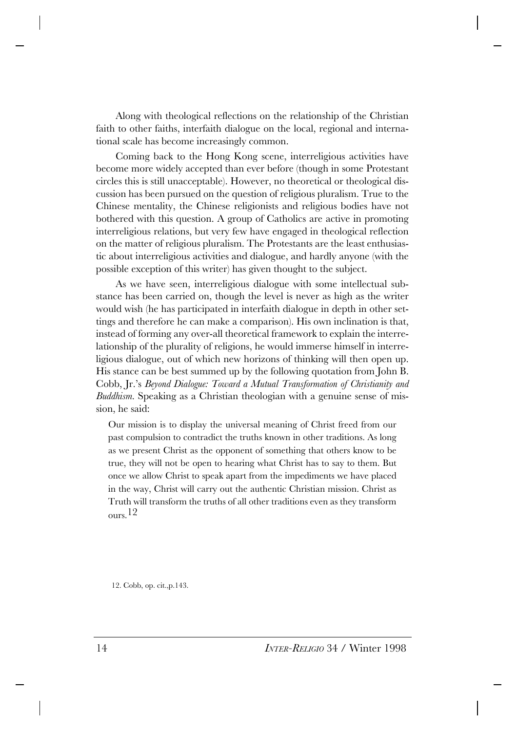Along with theological reflections on the relationship of the Christian faith to other faiths, interfaith dialogue on the local, regional and international scale has become increasingly common.

Coming back to the Hong Kong scene, interreligious activities have become more widely accepted than ever before (though in some Protestant circles this is still unacceptable). However, no theoretical or theological discussion has been pursued on the question of religious pluralism. True to the Chinese mentality, the Chinese religionists and religious bodies have not bothered with this question. A group of Catholics are active in promoting interreligious relations, but very few have engaged in theological reflection on the matter of religious pluralism. The Protestants are the least enthusiastic about interreligious activities and dialogue, and hardly anyone (with the possible exception of this writer) has given thought to the subject.

As we have seen, interreligious dialogue with some intellectual substance has been carried on, though the level is never as high as the writer would wish (he has participated in interfaith dialogue in depth in other settings and therefore he can make a comparison). His own inclination is that, instead of forming any over-all theoretical framework to explain the interrelationship of the plurality of religions, he would immerse himself in interreligious dialogue, out of which new horizons of thinking will then open up. His stance can be best summed up by the following quotation from John B. Cobb, Jr.'s *Beyond Dialogue: Toward a Mutual Transformation of Christianity and Buddhism.* Speaking as a Christian theologian with a genuine sense of mission, he said:

Our mission is to display the universal meaning of Christ freed from our past compulsion to contradict the truths known in other traditions. As long as we present Christ as the opponent of something that others know to be true, they will not be open to hearing what Christ has to say to them. But once we allow Christ to speak apart from the impediments we have placed in the way, Christ will carry out the authentic Christian mission. Christ as Truth will transform the truths of all other traditions even as they transform ours.12

12. Cobb, op. cit.,p.143.